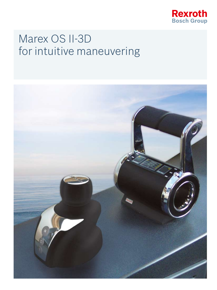

# Marex OS II-3D for intuitive maneuvering

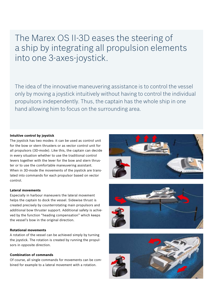The Marex OS II-3D eases the steering of a ship by integrating all propulsion elements into one 3-axes-joystick.

The idea of the innovative maneuvering assistance is to control the vessel only by moving a joystick intuitively without having to control the individual propulsors independently. Thus, the captain has the whole ship in one hand allowing him to focus on the surrounding area.

# **Intuitive control by joystick**

The joystick has two modes: it can be used as control unit for the bow or stern thrusters or as vector control unit for all propulsors (3D-mode). Like this, the captain can decide in every situation whether to use the traditional control levers together with the lever for the bow and stern thruster or to use the comfortable maneuvering assistant. When in 3D-mode the movements of the joystick are translated into commands for each propulsor based on vector control.

#### **Lateral movements**

Especially in harbour maneuvers the lateral movement helps the captain to dock the vessel. Sidewise thrust is created precisely by counterrotating main propulsors and additional bow thruster support. Additional safety is achieved by the function "heading compensation" which keeps the vessel's bow in the original direction.

# **Rotational movements**

A rotation of the vessel can be achieved simply by turning the joystick. The rotation is created by running the propulsors in opposite direction.

#### **Combination of commands**

Of course, all single commands for movements can be combined for example to a lateral movement with a rotation.





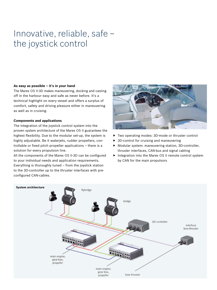# Innovative, reliable, safe – the joystick control

# **As easy as possible – it's in your hand**

The Marex OS II-3D makes maneuvering, docking and casting off in the harbour easy and safe as never before. It's a technical highlight on every vessel and offers a surplus of comfort, safety and driving pleasure either in maneuvering as well as in cruising.

# **Components and applications**

The integration of the joystick control system into the proven system architecture of the Marex OS II guarantees the highest flexibility. Due to the modular set-up, the system is highly adjustable. Be it waterjets, rudder propellers, controllable or fixed pitch propeller applications – there is a solution for every propulsion line.

All the components of the Marex OS II-3D can be configured to your individual needs and application requirements. Everything is thoroughly tuned – from the joystick station to the 3D-controller up to the thruster interfaces with preconfigured CAN-cables.



- ▶ Two operating modes: 3D-mode or thruster control
- $\triangleright$  3D-control for cruising and maneuvering
- $\blacktriangleright$  Modular system: maneuvering station, 3D-controller, thruster interfaces, CAN-bus and signal cabling
- $\blacktriangleright$  Integration into the Marex OS II remote control system by CAN for the main propulsors